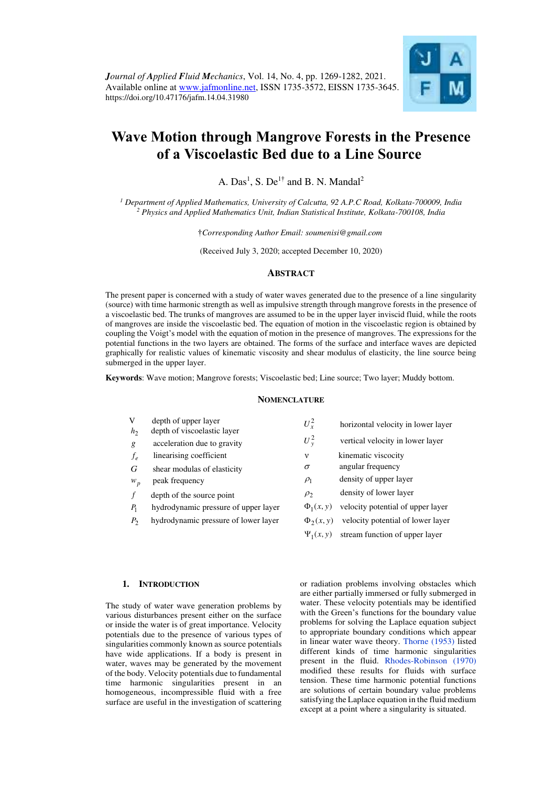

# **Wave Motion through Mangrove Forests in the Presence of a Viscoelastic Bed due to a Line Source**

A.  $Das<sup>1</sup>$ , S.  $De<sup>1\dagger</sup>$  and B. N. Mandal<sup>2</sup>

<sup>1</sup> Department of Applied Mathematics, University of Calcutta, 92 A.P.C Road, Kolkata-700009, India <sup>2</sup> Physics and Applied Mathematics Unit, Indian Statistical Institute, Kolkata-700108, India

†*Corresponding Author Email: soumenisi@gmail.com* 

(Received July 3, 2020; accepted December 10, 2020)

# **ABSTRACT**

The present paper is concerned with a study of water waves generated due to the presence of a line singularity (source) with time harmonic strength as well as impulsive strength through mangrove forests in the presence of a viscoelastic bed. The trunks of mangroves are assumed to be in the upper layer inviscid fluid, while the roots of mangroves are inside the viscoelastic bed. The equation of motion in the viscoelastic region is obtained by coupling the Voigt's model with the equation of motion in the presence of mangroves. The expressions for the potential functions in the two layers are obtained. The forms of the surface and interface waves are depicted graphically for realistic values of kinematic viscosity and shear modulus of elasticity, the line source being submerged in the upper layer.

**Keywords**: Wave motion; Mangrove forests; Viscoelastic bed; Line source; Two layer; Muddy bottom.

## **NOMENCLATURE**

| V<br>h <sub>2</sub> | depth of upper layer<br>depth of viscoelastic layer | $U_r^2$        | horizontal velocity in lower layer |
|---------------------|-----------------------------------------------------|----------------|------------------------------------|
| g                   | acceleration due to gravity                         | $U_v^2$        | vertical velocity in lower layer   |
| $f_e$               | linearising coefficient                             | $\mathbf v$    | kinematic viscocity                |
| G                   | shear modulas of elasticity                         | $\sigma$       | angular frequency                  |
| $W_p$               | peak frequency                                      | $\rho_1$       | density of upper layer             |
|                     | depth of the source point                           | $\rho_{2}$     | density of lower layer             |
| $P_1$               | hydrodynamic pressure of upper layer                | $\Phi_1(x, y)$ | velocity potential of upper layer  |
| $P_{2}$             | hydrodynamic pressure of lower layer                | $\Phi_2(x, y)$ | velocity potential of lower layer  |
|                     |                                                     | $\Psi_1(x, y)$ | stream function of upper layer     |

#### **1. INTRODUCTION**

The study of water wave generation problems by various disturbances present either on the surface or inside the water is of great importance. Velocity potentials due to the presence of various types of singularities commonly known as source potentials have wide applications. If a body is present in water, waves may be generated by the movement of the body. Velocity potentials due to fundamental time harmonic singularities present in an homogeneous, incompressible fluid with a free surface are useful in the investigation of scattering

or radiation problems involving obstacles which are either partially immersed or fully submerged in water. These velocity potentials may be identified with the Green's functions for the boundary value problems for solving the Laplace equation subject to appropriate boundary conditions which appear in linear water wave theory. [Thorne \(1953\)](#page-13-0) listed different kinds of time harmonic singularities present in the fluid. [Rhodes-Robinson \(1970\)](#page-13-1)  modified these results for fluids with surface tension. These time harmonic potential functions are solutions of certain boundary value problems satisfying the Laplace equation in the fluid medium except at a point where a singularity is situated.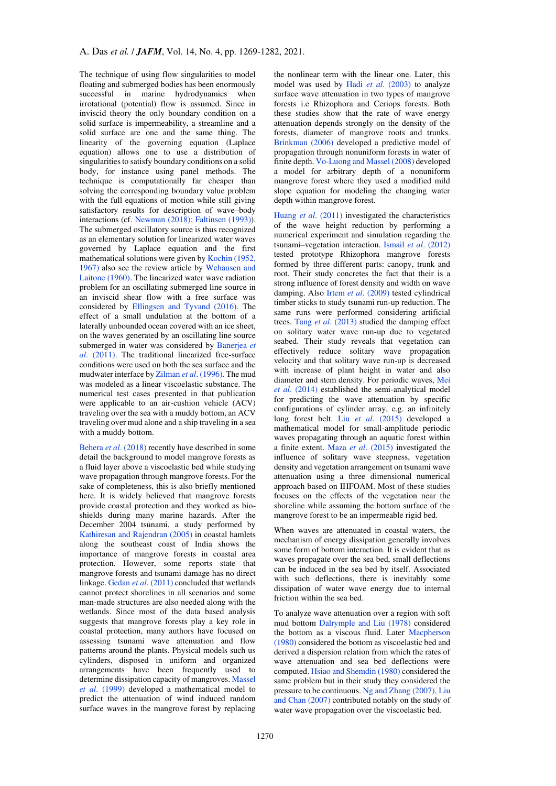The technique of using flow singularities to model floating and submerged bodies has been enormously successful in marine hydrodynamics when irrotational (potential) flow is assumed. Since in inviscid theory the only boundary condition on a solid surface is impermeability, a streamline and a solid surface are one and the same thing. The linearity of the governing equation (Laplace equation) allows one to use a distribution of singularities to satisfy boundary conditions on a solid body, for instance using panel methods. The technique is computationally far cheaper than solving the corresponding boundary value problem with the full equations of motion while still giving satisfactory results for description of wave–body interactions (cf. [Newman \(2018\);](#page-13-2) [Faltinsen \(1993\)\)](#page-12-0). The submerged oscillatory source is thus recognized as an elementary solution for linearized water waves governed by Laplace equation and the first mathematical solutions were given b[y Kochin \(1952,](#page-12-1) [1967\)](#page-12-1) also see the review article by [Wehausen and](#page-13-3)  [Laitone \(1960\).](#page-13-3) The linearized water wave radiation problem for an oscillating submerged line source in an inviscid shear flow with a free surface was considered by [Ellingsen and Tyvand \(2016\).](#page-12-2) The effect of a small undulation at the bottom of a laterally unbounded ocean covered with an ice sheet, on the waves generated by an oscillating line source submerged in water was considered by [Banerjea](#page-12-3) *et al*[. \(2011\).](#page-12-3) The traditional linearized free-surface conditions were used on both the sea surface and the mudwater interface by Zilman *et al*[. \(1996\). T](#page-13-4)he mud was modeled as a linear viscoelastic substance. The numerical test cases presented in that publication were applicable to an air-cushion vehicle (ACV) traveling over the sea with a muddy bottom, an ACV traveling over mud alone and a ship traveling in a sea with a muddy bottom.

Behera *et al*[. \(2018\)](#page-12-4) recently have described in some detail the background to model mangrove forests as a fluid layer above a viscoelastic bed while studying wave propagation through mangrove forests. For the sake of completeness, this is also briefly mentioned here. It is widely believed that mangrove forests provide coastal protection and they worked as bioshields during many marine hazards. After the December 2004 tsunami, a study performed by [Kathiresan and Rajendran \(2005\)](#page-12-5) in coastal hamlets along the southeast coast of India shows the importance of mangrove forests in coastal area protection. However, some reports state that mangrove forests and tsunami damage has no direct linkage. Gedan *et al*[. \(2011\)](#page-12-6) concluded that wetlands cannot protect shorelines in all scenarios and some man-made structures are also needed along with the wetlands. Since most of the data based analysis suggests that mangrove forests play a key role in coastal protection, many authors have focused on assessing tsunami wave attenuation and flow patterns around the plants. Physical models such us cylinders, disposed in uniform and organized arrangements have been frequently used to determine dissipation capacity of mangroves[. Massel](#page-13-5)  *et al*[. \(1999\)](#page-13-5) developed a mathematical model to predict the attenuation of wind induced random surface waves in the mangrove forest by replacing the nonlinear term with the linear one. Later, this model was used by Hadi *et al*[. \(2003\)](#page-12-7) to analyze surface wave attenuation in two types of mangrove forests i.e Rhizophora and Ceriops forests. Both these studies show that the rate of wave energy attenuation depends strongly on the density of the forests, diameter of mangrove roots and trunks. [Brinkman \(2006\)](#page-12-8) developed a predictive model of propagation through nonuniform forests in water of finite depth[. Vo-Luong and Massel \(2008\)](#page-13-6) developed a model for arbitrary depth of a nonuniform mangrove forest where they used a modified mild slope equation for modeling the changing water depth within mangrove forest.

Huang *et al*[. \(2011\)](#page-12-9) investigated the characteristics of the wave height reduction by performing a numerical experiment and simulation regarding the tsunami–vegetation interaction. Ismail *et al*[. \(2012\)](#page-12-10)  tested prototype Rhizophora mangrove forests formed by three different parts: canopy, trunk and root. Their study concretes the fact that their is a strong influence of forest density and width on wave damping. Also Irtem *et al*[. \(2009\)](#page-12-11) tested cylindrical timber sticks to study tsunami run-up reduction. The same runs were performed considering artificial trees. Tang *et al*[. \(2013\)](#page-13-7) studied the damping effect on solitary water wave run-up due to vegetated seabed. Their study reveals that vegetation can effectively reduce solitary wave propagation velocity and that solitary wave run-up is decreased with increase of plant height in water and also diameter and stem density. For periodic waves[, Mei](#page-13-8)  *et al*[. \(2014\)](#page-13-8) established the semi-analytical model for predicting the wave attenuation by specific configurations of cylinder array, e.g. an infinitely long forest belt. Liu *et al*[. \(2015\)](#page-12-12) developed a mathematical model for small-amplitude periodic waves propagating through an aquatic forest within a finite extent. Maza *et al*[. \(2015\)](#page-13-9) investigated the influence of solitary wave steepness, vegetation density and vegetation arrangement on tsunami wave attenuation using a three dimensional numerical approach based on IHFOAM. Most of these studies focuses on the effects of the vegetation near the shoreline while assuming the bottom surface of the mangrove forest to be an impermeable rigid bed.

When waves are attenuated in coastal waters, the mechanism of energy dissipation generally involves some form of bottom interaction. It is evident that as waves propagate over the sea bed, small deflections can be induced in the sea bed by itself. Associated with such deflections, there is inevitably some dissipation of water wave energy due to internal friction within the sea bed.

To analyze wave attenuation over a region with soft mud bottom [Dalrymple and Liu \(1978\)](#page-12-13) considered the bottom as a viscous fluid. Later [Macpherson](#page-12-14)  [\(1980\)](#page-12-14) considered the bottom as viscoelastic bed and derived a dispersion relation from which the rates of wave attenuation and sea bed deflections were computed[. Hsiao and Shemdin \(1980\) c](#page-12-15)onsidered the same problem but in their study they considered the pressure to be continuous[. Ng and Zhang \(2007\),](#page-13-10) [Liu](#page-12-12)  [and Chan \(2007\)](#page-12-12) contributed notably on the study of water wave propagation over the viscoelastic bed.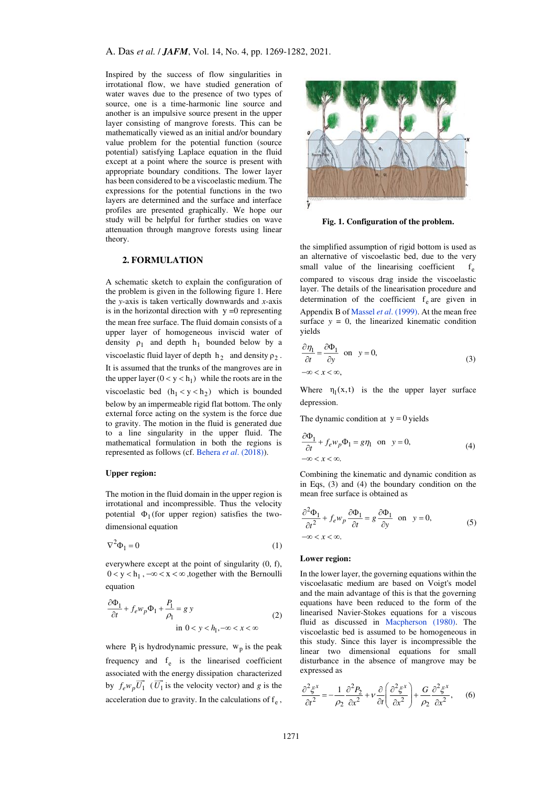Inspired by the success of flow singularities in irrotational flow, we have studied generation of water waves due to the presence of two types of source, one is a time-harmonic line source and another is an impulsive source present in the upper layer consisting of mangrove forests. This can be mathematically viewed as an initial and/or boundary value problem for the potential function (source potential) satisfying Laplace equation in the fluid except at a point where the source is present with appropriate boundary conditions. The lower layer has been considered to be a viscoelastic medium. The expressions for the potential functions in the two layers are determined and the surface and interface profiles are presented graphically. We hope our study will be helpful for further studies on wave attenuation through mangrove forests using linear theory.

# **2. FORMULATION**

A schematic sketch to explain the configuration of the problem is given in the following figure 1. Here the *y-*axis is taken vertically downwards and *x*-axis is in the horizontal direction with  $y = 0$  representing the mean free surface. The fluid domain consists of a upper layer of homogeneous inviscid water of density  $\rho_1$  and depth  $h_1$  bounded below by a viscoelastic fluid layer of depth  $h_2$  and density  $\rho_2$ . It is assumed that the trunks of the mangroves are in the upper layer  $(0 < y < h_1)$  while the roots are in the viscoelastic bed  $(h_1 < y < h_2)$  which is bounded below by an impermeable rigid flat bottom. The only external force acting on the system is the force due to gravity. The motion in the fluid is generated due to a line singularity in the upper fluid. The mathematical formulation in both the regions is represented as follows (cf. Behera *et al*[. \(2018\)\)](#page-12-4).

#### **Upper region:**

The motion in the fluid domain in the upper region is irrotational and incompressible. Thus the velocity potential  $\Phi_1$  (for upper region) satisfies the twodimensional equation

$$
\nabla^2 \Phi_1 = 0 \tag{1}
$$

everywhere except at the point of singularity (0, f),  $0 < y < h_1$ ,  $-\infty < x < \infty$ , together with the Bernoulli equation

$$
\frac{\partial \Phi_1}{\partial t} + f_e w_p \Phi_1 + \frac{P_1}{\rho_1} = g y
$$
\n
$$
\text{in } 0 < y < h_1, -\infty < x < \infty \tag{2}
$$

where  $P_1$  is hydrodynamic pressure,  $w_p$  is the peak frequency and  $f_e$  is the linearised coefficient associated with the energy dissipation characterized by  $f_e w_p U_1$  ( $U_1$  is the velocity vector) and *g* is the acceleration due to gravity. In the calculations of  $f_e$ ,



**Fig. 1. Configuration of the problem.** 

the simplified assumption of rigid bottom is used as an alternative of viscoelastic bed, due to the very small value of the linearising coefficient  $f_{\rho}$ compared to viscous drag inside the viscoelastic layer. The details of the linearisation procedure and determination of the coefficient  $f_e$  are given in Appendix B of Massel *et al*[. \(1999\).](#page-13-5) At the mean free surface  $y = 0$ , the linearized kinematic condition yields

$$
\frac{\partial \eta_1}{\partial t} = \frac{\partial \Phi_1}{\partial y} \text{ on } y = 0,
$$
\n
$$
-\infty < x < \infty,
$$
\n
$$
(3)
$$

Where  $\eta_1(x,t)$  is the the upper layer surface depression.

The dynamic condition at  $y = 0$  yields

$$
\frac{\partial \Phi_1}{\partial t} + f_e w_p \Phi_1 = g \eta_1 \text{ on } y = 0,
$$
\n
$$
-\infty < x < \infty.
$$
\n
$$
(4)
$$

Combining the kinematic and dynamic condition as in Eqs, (3) and (4) the boundary condition on the mean free surface is obtained as

$$
\frac{\partial^2 \Phi_1}{\partial t^2} + f_e w_p \frac{\partial \Phi_1}{\partial t} = g \frac{\partial \Phi_1}{\partial y} \text{ on } y = 0,
$$
\n
$$
-\infty < x < \infty.
$$
\n
$$
(5)
$$

#### **Lower region:**

In the lower layer, the governing equations within the viscoelasatic medium are based on Voigt's model and the main advantage of this is that the governing equations have been reduced to the form of the linearised Navier-Stokes equations for a viscous fluid as discussed in [Macpherson \(1980\).](#page-12-14) The viscoelastic bed is assumed to be homogeneous in this study. Since this layer is incompressible the linear two dimensional equations for small disturbance in the absence of mangrove may be expressed as

$$
\frac{\partial^2 \xi^x}{\partial t^2} = -\frac{1}{\rho_2} \frac{\partial^2 P_2}{\partial x^2} + \nu \frac{\partial}{\partial t} \left( \frac{\partial^2 \xi^x}{\partial x^2} \right) + \frac{G}{\rho_2} \frac{\partial^2 \xi^x}{\partial x^2}, \quad (6)
$$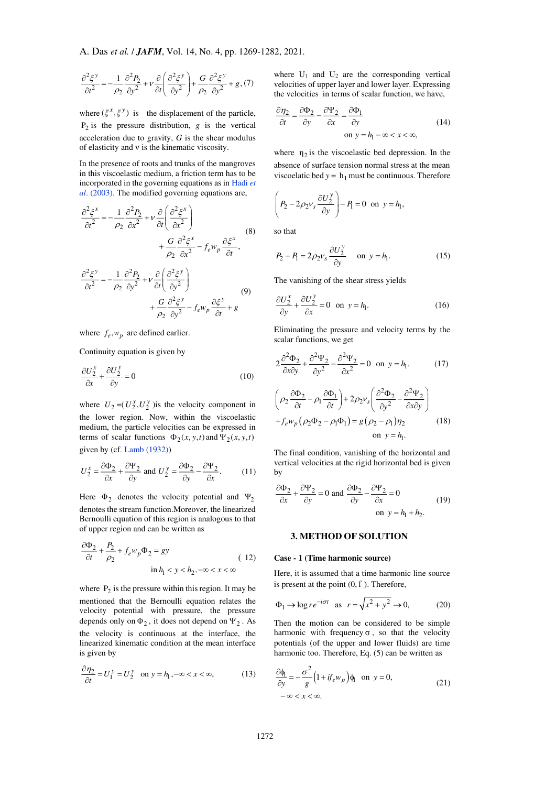$$
\frac{\partial^2 \xi^y}{\partial t^2} = -\frac{1}{\rho_2} \frac{\partial^2 P_2}{\partial y^2} + v \frac{\partial}{\partial t} \left( \frac{\partial^2 \xi^y}{\partial y^2} \right) + \frac{G}{\rho_2} \frac{\partial^2 \xi^y}{\partial y^2} + g, (7)
$$

where  $(\xi^x, \xi^y)$  is the displacement of the particle,  $P_2$  is the pressure distribution,  $g$  is the vertical acceleration due to gravity, *G* is the shear modulus of elasticity and <sup>ν</sup> is the kinematic viscosity.

In the presence of roots and trunks of the mangroves in this viscoelastic medium, a friction term has to be incorporated in the governing equations as in [Hadi](#page-12-7) *et al*[. \(2003\).](#page-12-7) The modified governing equations are,

$$
\frac{\partial^2 \xi^x}{\partial t^2} = -\frac{1}{\rho_2} \frac{\partial^2 P_2}{\partial x^2} + v \frac{\partial}{\partial t} \left( \frac{\partial^2 \xi^x}{\partial x^2} \right)
$$
  
+ 
$$
\frac{G}{\rho_2} \frac{\partial^2 \xi^x}{\partial x^2} - f_e w_p \frac{\partial \xi^x}{\partial t},
$$
  

$$
\frac{\partial^2 \xi^y}{\partial t^2} = -\frac{1}{\rho_2} \frac{\partial^2 P_2}{\partial y^2} + v \frac{\partial}{\partial t} \left( \frac{\partial^2 \xi^y}{\partial y^2} \right)
$$
  
+ 
$$
\frac{G}{\rho_2} \frac{\partial^2 \xi^y}{\partial y^2} - f_e w_p \frac{\partial \xi^y}{\partial t} + g
$$
(9)

2  $\partial y^2$ 

 $\rho$ 

where  $f_e, w_p$  are defined earlier.

Continuity equation is given by

$$
\frac{\partial U_2^x}{\partial x} + \frac{\partial U_2^y}{\partial y} = 0\tag{10}
$$

where  $U_2 = (U_2^x, U_2^y)$  is the velocity component in the lower region. Now, within the viscoelastic medium, the particle velocities can be expressed in terms of scalar functions  $\Phi_2(x, y, t)$  and  $\Psi_2(x, y, t)$ given by (cf. [Lamb \(1932\)\)](#page-12-16)

$$
U_2^x = \frac{\partial \Phi_2}{\partial x} + \frac{\partial \Psi_2}{\partial y} \text{ and } U_2^y = \frac{\partial \Phi_2}{\partial y} - \frac{\partial \Psi_2}{\partial x}.
$$
 (11)

Here  $\Phi_2$  denotes the velocity potential and  $\Psi_2$ denotes the stream function.Moreover, the linearized Bernoulli equation of this region is analogous to that of upper region and can be written as

$$
\frac{\partial \Phi_2}{\partial t} + \frac{P_2}{\rho_2} + f_e w_p \Phi_2 = gy
$$
\n
$$
\text{in } h_1 < y < h_2, -\infty < x < \infty
$$
\n(12)

where  $P_2$  is the pressure within this region. It may be mentioned that the Bernoulli equation relates the velocity potential with pressure, the pressure depends only on  $\Phi_2$ , it does not depend on  $\Psi_2$ . As the velocity is continuous at the interface, the linearized kinematic condition at the mean interface is given by

$$
\frac{\partial \eta_2}{\partial t} = U_1^{\,y} = U_2^{\,y} \quad \text{on } y = h_1, -\infty < x < \infty,\tag{13}
$$

where  $U_1$  and  $U_2$  are the corresponding vertical velocities of upper layer and lower layer. Expressing the velocities in terms of scalar function, we have,

$$
\frac{\partial \eta_2}{\partial t} = \frac{\partial \Phi_2}{\partial y} - \frac{\partial \Psi_2}{\partial x} = \frac{\partial \Phi_1}{\partial y}
$$
\n
$$
\text{on } y = h_1 - \infty < x < \infty,\tag{14}
$$

where  $\eta_2$  is the viscoelastic bed depression. In the absence of surface tension normal stress at the mean viscoelatic bed  $y = h_1$  must be continuous. Therefore

$$
\left(P_2 - 2\rho_2 v_s \frac{\partial U_2^y}{\partial y}\right) - P_1 = 0 \text{ on } y = h_1,
$$

so that

$$
P_2 - P_1 = 2\rho_2 v_s \frac{\partial U_2^y}{\partial y} \quad \text{on } y = h_1.
$$
 (15)

The vanishing of the shear stress yields

$$
\frac{\partial U_2^x}{\partial y} + \frac{\partial U_2^y}{\partial x} = 0 \quad \text{on } y = h_1.
$$
 (16)

Eliminating the pressure and velocity terms by the scalar functions, we get

$$
2\frac{\partial^2 \Phi_2}{\partial x \partial y} + \frac{\partial^2 \Psi_2}{\partial y^2} - \frac{\partial^2 \Psi_2}{\partial x^2} = 0 \text{ on } y = h_1.
$$
 (17)

$$
\left(\rho_2 \frac{\partial \Phi_2}{\partial t} - \rho_1 \frac{\partial \Phi_1}{\partial t}\right) + 2\rho_2 v_s \left(\frac{\partial^2 \Phi_2}{\partial y^2} - \frac{\partial^2 \Psi_2}{\partial x \partial y}\right) + f_e w_p \left(\rho_2 \Phi_2 - \rho_1 \Phi_1\right) = g \left(\rho_2 - \rho_1\right) \eta_2
$$
\n
$$
\text{on } y = h_1.
$$
\n(18)

The final condition, vanishing of the horizontal and vertical velocities at the rigid horizontal bed is given by

$$
\frac{\partial \Phi_2}{\partial x} + \frac{\partial \Psi_2}{\partial y} = 0 \text{ and } \frac{\partial \Phi_2}{\partial y} - \frac{\partial \Psi_2}{\partial x} = 0
$$
\n
$$
\text{on } y = h_1 + h_2.
$$
\n(19)

#### **3. METHOD OF SOLUTION**

## **Case - 1 (Time harmonic source)**

Here, it is assumed that a time harmonic line source is present at the point  $(0, f)$ . Therefore,

$$
\Phi_1 \to \log r e^{-i\sigma t} \quad \text{as} \quad r = \sqrt{x^2 + y^2} \to 0,\tag{20}
$$

Then the motion can be considered to be simple harmonic with frequency  $\sigma$ , so that the velocity potentials (of the upper and lower fluids) are time harmonic too. Therefore, Eq. (5) can be written as

$$
\frac{\partial \phi_1}{\partial y} = -\frac{\sigma^2}{g} \left( 1 + i f_e w_p \right) \phi_1 \text{ on } y = 0,
$$
\n
$$
-\infty < x < \infty.
$$
\n(21)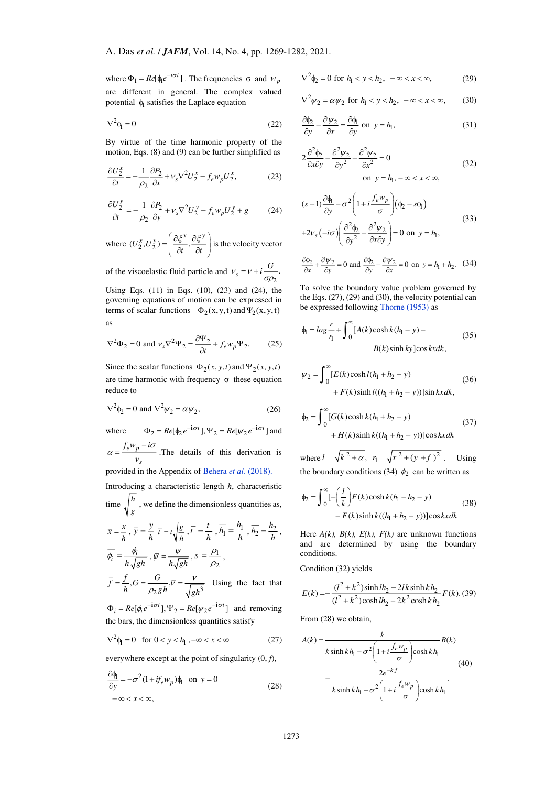where  $\Phi_1 = Re[\phi_1 e^{-i\sigma t}]$ . The frequencies  $\sigma$  and  $w_p$ are different in general. The complex valued potential  $\phi$  satisfies the Laplace equation

$$
\nabla^2 \phi_l = 0 \tag{22}
$$

By virtue of the time harmonic property of the motion, Eqs. (8) and (9) can be further simplified as

$$
\frac{\partial U_2^x}{\partial t} = -\frac{1}{\rho_2} \frac{\partial P_2}{\partial x} + v_s \nabla^2 U_2^x - f_e w_p U_2^x, \tag{23}
$$

$$
\frac{\partial U_2^{\,y}}{\partial t} = -\frac{1}{\rho_2} \frac{\partial P_2}{\partial y} + \nu_s \nabla^2 U_2^{\,y} - f_e w_p U_2^{\,y} + g \tag{24}
$$

where  $(U_2^x, U_2^y) = \left(\frac{\partial \xi^x}{\partial t}, \frac{\partial \xi^y}{\partial t}\right)$  $U_2^x, U_2^y$  =  $\left(\frac{\partial \xi^x}{\partial t}, \frac{\partial \xi^y}{\partial t}\right)$  $\left(\frac{\xi^x}{\xi^y}, \frac{\partial \xi^y}{\xi^y}\right)$  is the velocity vector

of the viscoelastic fluid particle and  $v_s = v + i \frac{\sigma}{\sigma \rho_2}$ .  $v_s = v + i \frac{G}{\sigma \rho}$ 

Using Eqs. (11) in Eqs. (10), (23) and (24), the governing equations of motion can be expressed in terms of scalar functions  $\Phi_2(x, y, t)$  and  $\Psi_2(x, y, t)$ as

$$
\nabla^2 \Phi_2 = 0 \text{ and } \nu_s \nabla^2 \Psi_2 = \frac{\partial \Psi_2}{\partial t} + f_e w_p \Psi_2.
$$
 (25)

Since the scalar functions  $\Phi_2(x, y, t)$  and  $\Psi_2(x, y, t)$ are time harmonic with frequency  $σ$  these equation reduce to

$$
\nabla^2 \phi_2 = 0 \text{ and } \nabla^2 \psi_2 = \alpha \psi_2,\tag{26}
$$

where 
$$
\Phi_2 = Re[\Phi_2 e^{-i\sigma t}], \Psi_2 = Re[\psi_2 e^{-i\sigma t}]
$$
 and  
\n $\alpha = \frac{f_e w_p - i\sigma}{v_s}$ . The details of this derivation is  
\nprovided in the Appendix of Behera *et al.* (2018).  
\nIntroducing a characteristic length *h*, characteristic

time  $\sqrt{\frac{h}{g}}$ , we define the dimensionless quantities as,

$$
\overline{x} = \frac{x}{h}, \ \overline{y} = \frac{y}{h} \ \overline{t} = t \sqrt{\frac{g}{h}}, \ \overline{t} = \frac{t}{h}, \ \overline{h_1} = \frac{h_1}{h}, \ \overline{h_2} = \frac{h_2}{h},
$$
\n
$$
\overline{\phi_i} = \frac{\phi_i}{h\sqrt{gh}}, \ \overline{\psi} = \frac{\psi}{h\sqrt{gh}}, \ s = \frac{\rho_1}{\rho_2},
$$
\n
$$
= \frac{t}{h} = \frac{G}{\sqrt{gh}} \ \frac{V}{\sqrt{gh}}
$$

 $\overline{f} = \frac{f}{h}, \overline{G} = \frac{G}{\rho_2 gh}, \overline{v} = \frac{v}{\sqrt{gh^3}}$ *h*  $\rho_2 gh$   $\sqrt{gh}$  $\frac{G}{\rho_2 gh}$ ,  $\overline{V} = \frac{V}{\sqrt{gh^3}}$  Using the fact that

 $\Phi_i = Re[\phi_i e^{-i\sigma t}], \Psi_2 = Re[\psi_2 e^{-i\sigma t}]$  and removing the bars, the dimensionless quantities satisfy

$$
\nabla^2 \phi_1 = 0 \quad \text{for } 0 < y < h_1, -\infty < x < \infty \tag{27}
$$

everywhere except at the point of singularity (0, *f*),

$$
\frac{\partial \phi_1}{\partial y} = -\sigma^2 (1 + if_e w_p) \phi_1 \text{ on } y = 0
$$
  

$$
-\infty < x < \infty,
$$
 (28)

$$
\nabla^2 \phi_2 = 0 \text{ for } h_1 < y < h_2, \ -\infty < x < \infty,\tag{29}
$$

$$
\nabla^2 \psi_2 = \alpha \psi_2 \text{ for } h_1 < y < h_2, \ -\infty < x < \infty,\tag{30}
$$

$$
\frac{\partial \phi_2}{\partial y} - \frac{\partial \psi_2}{\partial x} = \frac{\partial \phi_1}{\partial y} \text{ on } y = h_1,
$$
 (31)

$$
2\frac{\partial^2 \phi_2}{\partial x \partial y} + \frac{\partial^2 \psi_2}{\partial y^2} - \frac{\partial^2 \psi_2}{\partial x^2} = 0
$$
  
on  $y = h_1, -\infty < x < \infty$ , (32)

$$
(s-1)\frac{\partial \phi_1}{\partial y} - \sigma^2 \left(1 + i \frac{f_e w_p}{\sigma}\right) (\phi_2 - s\phi_1)
$$
  
+2v<sub>s</sub>(-i\sigma)  $\left(\frac{\partial^2 \phi_2}{\partial y^2} - \frac{\partial^2 w_2}{\partial x \partial y}\right) = 0$  on  $y = h_1$ , (33)

$$
\frac{\partial \phi_2}{\partial x} + \frac{\partial \psi_2}{\partial y} = 0 \text{ and } \frac{\partial \phi_2}{\partial y} - \frac{\partial \psi_2}{\partial x} = 0 \text{ on } y = h_1 + h_2. \quad (34)
$$

To solve the boundary value problem governed by the Eqs. (27), (29) and (30), the velocity potential can be expressed following [Thorne \(1953\)](#page-13-0) as

$$
\phi_1 = \log \frac{r}{r_1} + \int_0^\infty [A(k)\cosh k(h_1 - y) + B(k)\sinh ky] \cos kx dk,
$$
\n(35)

$$
\psi_2 = \int_0^\infty [E(k)\cosh l(h_1 + h_2 - y) + F(k)\sinh l((h_1 + h_2 - y))] \sin kx dk,
$$
\n(36)

$$
\Phi_2 = \int_0^\infty [G(k)\cosh k(h_1 + h_2 - y) + H(k)\sinh k((h_1 + h_2 - y))] \cos kx dk \tag{37}
$$

where  $l = \sqrt{k^2 + \alpha}$ ,  $r_1 = \sqrt{x^2 + (y + f)^2}$ . Using the boundary conditions (34)  $\phi_2$  can be written as

$$
\Phi_2 = \int_0^\infty \left[-\left(\frac{l}{k}\right) F(k) \cosh k(h_1 + h_2 - y) - F(k) \sinh k((h_1 + h_2 - y))\right] \cos kx dk
$$
\n(38)

Here  $A(k)$ ,  $B(k)$ ,  $E(k)$ ,  $F(k)$  are unknown functions and are determined by using the boundary conditions.

Condition (32) yields

$$
E(k) = -\frac{(l^2 + k^2)\sinh l h_2 - 2lk \sinh k h_2}{(l^2 + k^2)\cosh l h_2 - 2k^2 \cosh k h_2} F(k)
$$
 (39)

From (28) we obtain,

$$
A(k) = \frac{k}{k \sinh kh_1 - \sigma^2 \left(1 + i \frac{f_e w_p}{\sigma}\right) \cosh kh_1} B(k)
$$

$$
- \frac{2e^{-kf}}{k \sinh kh_1 - \sigma^2 \left(1 + i \frac{f_e w_p}{\sigma}\right) \cosh kh_1}.
$$
(40)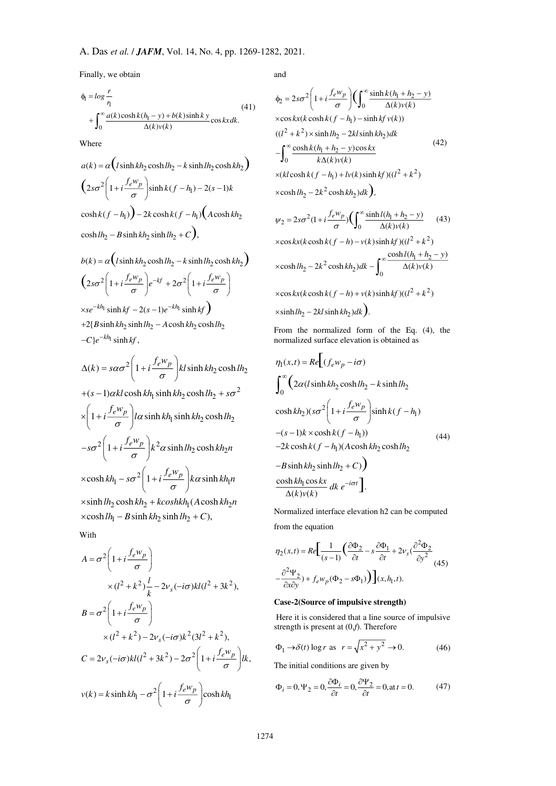Finally, we obtain

$$
\phi_1 = \log \frac{r}{r_1}
$$
\n
$$
+ \int_0^\infty \frac{a(k)\cosh k(h_1 - y) + b(k)\sinh ky}{\Delta(k)\nu(k)} \cos kx dk.
$$
\n(41)

Where

$$
a(k) = \alpha \left( l \sinh kh_2 \cosh lh_2 - k \sinh lh_2 \cosh kh_2 \right)
$$
  

$$
\left( 2s\sigma^2 \left( 1 + i \frac{f_e w_p}{\sigma} \right) \sinh k(f - h_1) - 2(s - 1)k \cosh k(f - h_1) \right)
$$
  

$$
\cosh k(f - h_1) - 2k \cosh k(f - h_1) \left( A \cosh kh_2 \cosh lh_2 - B \sinh kh_2 \sinh lh_2 + C \right),
$$

$$
b(k) = \alpha \left( l \sinh kh_2 \cosh lh_2 - k \sinh lh_2 \cosh kh_2 \right)
$$
  
\n
$$
\left( 2s\sigma^2 \left( 1 + i \frac{f_e w_p}{\sigma} \right) e^{-kf} + 2\sigma^2 \left( 1 + i \frac{f_e w_p}{\sigma} \right)
$$
  
\n
$$
\times se^{-kh_1} \sinh kf - 2(s-1)e^{-kh_1} \sinh kf \right)
$$
  
\n+2{B sinh kh\_2 sinh lh\_2 - A cosh kh\_2 cosh lh\_2  
\n-C}{e^{-kh\_1} \sinh kf,

$$
\Delta(k) = s\alpha\sigma^2 \left(1 + i\frac{f_e w_p}{\sigma}\right) kl \sinh kh_2 \cosh lh_2
$$

+
$$
(s-1)\alpha kl \cosh kh_1 \sinh kh_2 \cosh lh_2 + s\sigma^2
$$
  
\n $\times \left(1 + i\frac{f_e w_p}{\sigma}\right) l\alpha \sinh kh_1 \sinh kh_2 \cosh lh_2$   
\n $-s\sigma^2 \left(1 + i\frac{f_e w_p}{\sigma}\right) k^2 \alpha \sinh lh_2 \cosh kh_2 n$   
\n $\times \cosh kh_1 - s\sigma^2 \left(1 + i\frac{f_e w_p}{\sigma}\right) k\alpha \sinh kh_1 n$   
\n $\times \sinh lh_2 \cosh kh_2 + k\coshkh_1 (A \cosh kh_2 n)$ 

 $\times \cosh l h_1 - B \sinh k h_2 \sinh l h_2 + C$ ,

With

$$
A = \sigma^2 \left( 1 + i \frac{f_e w_p}{\sigma} \right)
$$
  
\n
$$
\times (l^2 + k^2) \frac{l}{k} - 2v_s(-i\sigma)kl(l^2 + 3k^2),
$$
  
\n
$$
B = \sigma^2 \left( 1 + i \frac{f_e w_p}{\sigma} \right)
$$
  
\n
$$
\times (l^2 + k^2) - 2v_s(-i\sigma)k^2(3l^2 + k^2),
$$
  
\n
$$
C = 2v_s(-i\sigma)kl(l^2 + 3k^2) - 2\sigma^2 \left( 1 + i \frac{f_e w_p}{\sigma} \right)lk,
$$
  
\n
$$
v(k) = k \sinh kh_1 - \sigma^2 \left( 1 + i \frac{f_e w_p}{\sigma} \right) \cosh kh_1
$$

and

$$
\Phi_2 = 2s\sigma^2 \left( 1 + i \frac{f_e w_p}{\sigma} \right) \left( \int_0^\infty \frac{\sinh k (h_1 + h_2 - y)}{\Delta(k) v(k)} \right)
$$
  
\n
$$
\times \cos kx (k \cosh k (f - h_1) - \sinh k f v(k))
$$
  
\n
$$
((l^2 + k^2) \times \sinh l h_2 - 2k l \sinh k h_2) dk
$$
  
\n
$$
- \int_0^\infty \frac{\cosh k (h_1 + h_2 - y) \cos kx}{k \Delta(k) v(k)}
$$
  
\n
$$
\times (k l \cosh k (f - h_1) + l v(k) \sinh k f)((l^2 + k^2)
$$
  
\n
$$
\times \cosh l h_2 - 2k^2 \cosh k h_2) dk
$$
, (42)

$$
\psi_2 = 2s\sigma^2(1 + i\frac{f_e w_p}{\sigma}) \left(\int_0^\infty \frac{\sinh l(h_1 + h_2 - y)}{\Delta(k)v(k)}\right) \tag{43}
$$

$$
\times \cos kx(k \cosh k(f-h) - v(k) \sinh kf) ((l^2 + k^2)
$$
  

$$
\times \cosh lh_2 - 2k^2 \cosh kh_2) dk - \int_0^\infty \frac{\cosh l(h_1 + h_2 - y)}{\Delta(k)v(k)}
$$
  

$$
\times \cos kx(k \cosh k(f-h) + v(k) \sinh kf) ((l^2 + k^2)
$$
  

$$
\times \sinh lh_2 - 2kl \sinh kh_2) dk.
$$

From the normalized form of the Eq. (4), the normalized surface elevation is obtained as

$$
\eta_1(x,t) = Re \left[ (f_e w_p - i\sigma) \right]
$$
\n
$$
\int_0^\infty \left( 2\alpha (l \sinh kh_2 \cosh lh_2 - k \sinh lh_2 \right)
$$
\n
$$
\cosh kh_2) (s\sigma^2 \left( 1 + i \frac{f_e w_p}{\sigma} \right) \sinh k (f - h_1)
$$
\n
$$
-(s-1)k \times \cosh k (f - h_1))
$$
\n
$$
-2k \cosh k (f - h_1) (A \cosh kh_2 \cosh lh_2 \right)
$$
\n
$$
-B \sinh kh_2 \sinh lh_2 + C)
$$
\n
$$
\frac{\cosh kh_1 \cos kx}{\Delta(k)v(k)} dk e^{-i\sigma t}.
$$
\n(44)

Normalized interface elevation h2 can be computed from the equation

$$
\eta_2(x,t) = Re \left[ \frac{1}{(s-1)} \left( \frac{\partial \Phi_2}{\partial t} - s \frac{\partial \Phi_1}{\partial t} + 2v_s \left( \frac{\partial^2 \Phi_2}{\partial y^2} - \frac{\partial^2 \Psi_2}{\partial x \partial y} \right) + f_e w_p (\Phi_2 - s\Phi_1) \right) \right] (x, h_1, t).
$$
 (45)

## **Case-2(Source of impulsive strength)**

 Here it is considered that a line source of impulsive strength is present at (0,*f*). Therefore

$$
\Phi_1 \to \delta(t) \log r \text{ as } r = \sqrt{x^2 + y^2} \to 0. \tag{46}
$$

The initial conditions are given by

$$
\Phi_i = 0, \Psi_2 = 0, \frac{\partial \Phi_i}{\partial t} = 0, \frac{\partial \Psi_2}{\partial t} = 0, \text{at } t = 0.
$$
 (47)

Δ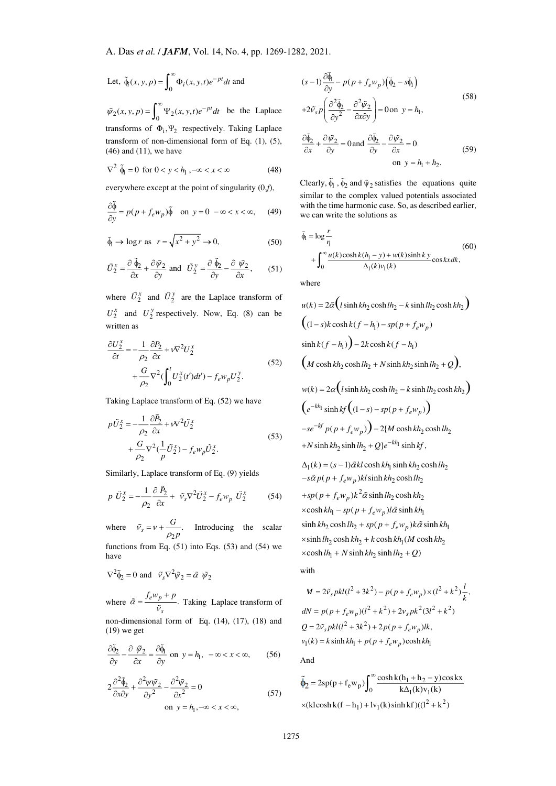Let, 
$$
\tilde{\phi}_t(x, y, p) = \int_0^\infty \Phi_t(x, y, t) e^{-pt} dt
$$
 and

 $\tilde{\psi}_2(x, y, p) = \int_0^\infty \Psi_2(x, y, t)e^{-pt}dt$  be the Laplace transforms of  $\Phi_i, \Psi_2$  respectively. Taking Laplace transform of non-dimensional form of Eq. (1), (5), (46) and (11), we have

$$
\nabla^2 \tilde{\phi}_1 = 0 \text{ for } 0 < y < h_1, -\infty < x < \infty \tag{48}
$$

everywhere except at the point of singularity (0,*f*),

$$
\frac{\partial \tilde{\phi}}{\partial y} = p(p + f_e w_p) \tilde{\phi} \quad \text{on } y = 0 \ -\infty < x < \infty,\tag{49}
$$

$$
\tilde{\phi}_1 \to \log r \text{ as } r = \sqrt{x^2 + y^2} \to 0,
$$
\n(50)

$$
\tilde{U}_{2}^{x} = \frac{\partial \tilde{\phi}_{2}}{\partial x} + \frac{\partial \tilde{\psi}_{2}}{\partial y} \text{ and } \tilde{U}_{2}^{y} = \frac{\partial \tilde{\phi}_{2}}{\partial y} - \frac{\partial \tilde{\psi}_{2}}{\partial x}, \qquad (51)
$$

where  $\hat{U}_2^x$  and  $\hat{U}_2^y$  are the Laplace transform of  $U_2^x$  and  $U_2^y$  respectively. Now, Eq. (8) can be written as

$$
\frac{\partial U_2^x}{\partial t} = -\frac{1}{\rho_2} \frac{\partial P_2}{\partial x} + v \nabla^2 U_2^x
$$
  
+ 
$$
\frac{G}{\rho_2} \nabla^2 \left( \int_0^t U_2^x(t') dt' \right) - f_e w_p U_2^y.
$$
 (52)

Taking Laplace transform of Eq. (52) we have

$$
p\tilde{U}_{2}^{x} = -\frac{1}{\rho_{2}} \frac{\partial P_{2}}{\partial x} + v \nabla^{2} \tilde{U}_{2}^{x}
$$
  
 
$$
+ \frac{G}{\rho_{2}} \nabla^{2} (\frac{1}{p} \tilde{U}_{2}^{x}) - f_{e} w_{p} \tilde{U}_{2}^{x}.
$$
 (53)

Similarly, Laplace transform of Eq. (9) yields

$$
p \tilde{U}_{2}^{x} = -\frac{1}{\rho_{2}} \frac{\partial \tilde{P}_{2}}{\partial x} + \tilde{v}_{s} \nabla^{2} \tilde{U}_{2}^{x} - f_{e} w_{p} \tilde{U}_{2}^{x}
$$
 (54)

where  $\tilde{v}_s = v + \frac{g}{\rho_2 p}$ . *G*  $\tilde{v}_s = v + \frac{\sigma}{\rho_2 p}$ . Introducing the scalar functions from Eq.  $(51)$  into Eqs.  $(53)$  and  $(54)$  we have

$$
\nabla^2 \tilde{\phi}_2 = 0 \text{ and } \tilde{v}_s \nabla^2 \tilde{\psi}_2 = \tilde{\alpha} \tilde{\psi}_2
$$

where  $\tilde{\alpha} = \frac{f_e w_p + p}{r}$ . *s*  $\tilde{\alpha} = \frac{f_e w_p + p}{\tilde{v}_e}$ . Taking Laplace transform of non-dimensional form of Eq. (14), (17), (18) and (19) we get

$$
\frac{\partial \tilde{\Phi}_2}{\partial y} - \frac{\partial \tilde{\psi}_2}{\partial x} = \frac{\partial \tilde{\Phi}_1}{\partial y} \text{ on } y = h_1, -\infty < x < \infty,\qquad (56)
$$

$$
2\frac{\partial^2 \tilde{\Phi}_2}{\partial x \partial y} + \frac{\partial^2 \psi \tilde{\psi}_2}{\partial y^2} - \frac{\partial^2 \tilde{\psi}_2}{\partial x^2} = 0
$$
  
on  $y = h_1, -\infty < x < \infty$ , (57)

$$
(s-1)\frac{\partial \tilde{\phi}_1}{\partial y} - p(p + f_e w_p)(\tilde{\phi}_2 - s\tilde{\phi}_1)
$$
  
+2\tilde{v}\_s p\left(\frac{\partial^2 \tilde{\phi}\_2}{\partial y^2} - \frac{\partial^2 \tilde{\psi}\_2}{\partial x \partial y}\right) = 0 \text{ on } y = h\_1,  

$$
\frac{\partial \tilde{\phi}_2}{\partial x} + \frac{\partial \tilde{\psi}_2}{\partial y} = 0 \text{ and } \frac{\partial \tilde{\phi}_2}{\partial y} - \frac{\partial \tilde{\psi}_2}{\partial x} = 0\text{ on } y = h_1 + h_2.
$$
 (59)

Clearly,  $\phi_1$ ,  $\phi_2$  and  $\tilde{\psi}_2$  satisfies the equations quite similar to the complex valued potentials associated with the time harmonic case. So, as described earlier, we can write the solutions as

$$
\tilde{\phi}_1 = \log \frac{r}{r_1} \tag{60}
$$
\n
$$
+ \int_0^\infty \frac{u(k)\cosh k(h_1 - y) + w(k)\sinh ky}{\Delta_1(k)v_1(k)} \cos kx dk,
$$

where

$$
u(k) = 2\tilde{\alpha} \Big( l \sinh kh_2 \cosh lh_2 - k \sinh lh_2 \cosh kh_2 \Big)
$$
  
\n
$$
\Big( (1-s)k \cosh k(f - h_1) - sp(p + f_e w_p)
$$
  
\n
$$
\sinh k(f - h_1) \Big) - 2k \cosh k(f - h_1)
$$
  
\n
$$
\Big( M \cosh kh_2 \cosh lh_2 + N \sinh kh_2 \sinh lh_2 + Q \Big),
$$
  
\n
$$
w(k) = 2\alpha \Big( l \sinh kh_2 \cosh lh_2 - k \sinh lh_2 \cosh kh_2 \Big)
$$
  
\n
$$
\Big( e^{-kh_1} \sinh kf \Big( (1-s) - sp(p + f_e w_p) \Big)
$$
  
\n
$$
-se^{-kf} p(p + f_e w_p) \Big) - 2 \{ M \cosh kh_2 \cosh lh_2 + N \sinh kh_2 \sinh lh_2 + Q \} e^{-kh_1} \sinh kf,
$$
  
\n
$$
\Delta_1(k) = (s - 1)\tilde{\alpha}k l \cosh kh_1 \sinh kh_2 \cosh lh_2
$$

 $-s\tilde{\alpha}p(p+f_e w_p)kl\sinh kh_2\cosh lh_2$  $+ sp(p + f_e w_p)k^2 \tilde{\alpha} \sinh l h_2 \cosh k h_2$  $\times$  cosh  $kh_1$  –  $sp(p + f_e w_p) l\tilde{\alpha}$  sinh  $kh_1$  $\sinh kh_2 \cosh lh_2 + sp(p + f_e w_p)k\tilde{\alpha} \sinh kh_1$  $\times$ sinh  $lh_2 \cosh kh_2 + k \cosh kh_1(M \cosh kh_2)$  $\times$  cosh  $lh_1 + N \sinh kh_2 \sinh lh_2 + Q$ with

$$
M = 2\tilde{v}_s pkl(l^2 + 3k^2) - p(p + f_e w_p) \times (l^2 + k^2) \frac{l}{k},
$$
  
\n
$$
dN = p(p + f_e w_p)(l^2 + k^2) + 2v_s p k^2 (3l^2 + k^2)
$$
  
\n
$$
Q = 2\tilde{v}_s pkl(l^2 + 3k^2) + 2p(p + f_e w_p)lk,
$$
  
\n
$$
v_1(k) = k \sinh kh_1 + p(p + f_e w_p) \cosh kh_1
$$

And

$$
\tilde{\phi}_2 = 2sp(p + f_e w_p) \int_0^\infty \frac{\cosh k(h_1 + h_2 - y)\cos kx}{k\Delta_1(k)v_1(k)}
$$
  
×(klcosh k(f - h<sub>1</sub>) + l v<sub>1</sub>(k) sinh kf)((l<sup>2</sup> + k<sup>2</sup>)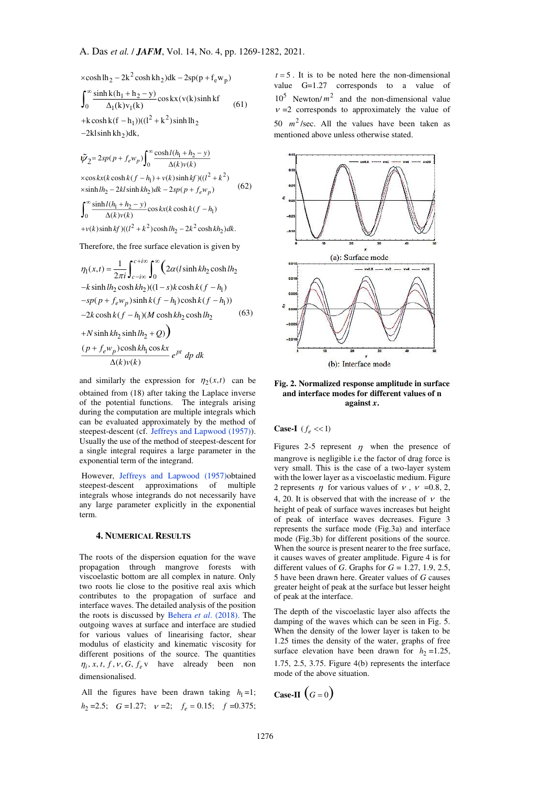$\times \cosh \ln_2 - 2k^2 \cosh \n \ln_2 \right)$ dk – 2sp(p + f<sub>e</sub>w<sub>p</sub>)  $1 + n_2$ 0  $\Delta_1$ (K) $v_1$ + k cosh k(f - h<sub>1</sub>))((l<sup>2</sup> + k<sup>2</sup>) sinh lh<sub>2</sub>  $-2$ kl sinh kh<sub>2</sub>)dk,  $\frac{\sinh k(h_1 + h_2 - y)}{\Delta_1(k)v_1(k)} \cos kx(v(k)\sinh kf)$  $\int_0^\infty \frac{\sinh k(h_1 + h_2 - y)}{\Delta_1(k)v_1(k)} \cos kx(v(k)\sinh k f \qquad (61)$ 

$$
\tilde{\psi}_2 = 2sp(p + f_e w_p) \int_0^\infty \frac{\cosh l(h_1 + h_2 - y)}{\Delta(k)v(k)}
$$
\n
$$
\times \cos kx(k \cosh k(f - h_1) + v(k) \sinh k f)((l^2 + k^2)
$$
\n
$$
\times \sinh l h_2 - 2kl \sinh k h_2) dk - 2sp(p + f_e w_p)
$$
\n
$$
\int_0^\infty \frac{\sinh l(h_1 + h_2 - y)}{\Delta(k)v(k)} \cos kx(k \cosh k(f - h_1))
$$
\n(62)

 $+v(k)$ sinh  $kf$ )(( $l^2 + k^2$ )cosh  $lh_2 - 2k^2 \cosh kh_2$ )dk.  $\Delta$ (k) $v(k)$ 

Therefore, the free surface elevation is given by

$$
\eta_1(x,t) = \frac{1}{2\pi i} \int_{c-i\infty}^{c+i\infty} \int_0^{\infty} \left( 2\alpha (l \sinh kh_2 \cosh lh_2 - k \sinh lh_2 \cosh kh_2) ((1-s)k \cosh k(f - h_1) - sp(p + f_e w_p) \sinh k(f - h_1) \cosh k(f - h_1)) \right)
$$
  
-2k \cosh k(f - h\_1) (M \cosh kh\_2 \cosh lh\_2 \t(63)  
+N \sinh kh\_2 \sinh lh\_2 + Q) 
$$
\frac{(p + f_e w_p) \cosh kh_1 \cos kx}{\Delta(k)v(k)} e^{pt} dp dk
$$

and similarly the expression for  $\eta_2(x, t)$  can be obtained from (18) after taking the Laplace inverse of the potential functions. The integrals arising during the computation are multiple integrals which can be evaluated approximately by the method of steepest-descent (cf. [Jeffreys and Lapwood \(1957\)\)](#page-12-17). Usually the use of the method of steepest-descent for a single integral requires a large parameter in the exponential term of the integrand.

 However, [Jeffreys and Lapwood \(1957\)o](#page-12-17)btained steepest-descent approximations of multiple integrals whose integrands do not necessarily have any large parameter explicitly in the exponential term.

#### **4. NUMERICAL RESULTS**

The roots of the dispersion equation for the wave propagation through mangrove forests with viscoelastic bottom are all complex in nature. Only two roots lie close to the positive real axis which contributes to the propagation of surface and interface waves. The detailed analysis of the position the roots is discussed by Behera *et al*[. \(2018\).](#page-12-4) The outgoing waves at surface and interface are studied for various values of linearising factor, shear modulus of elasticity and kinematic viscosity for different positions of the source. The quantities  $\eta_i$ , x, t, f, v, G,  $f_e$  v have already been non dimensionalised.

All the figures have been drawn taking  $h_1 = 1$ ;  $h_2 = 2.5$ ; *G* = 1.27;  $v = 2$ ;  $f_e = 0.15$ ;  $f = 0.375$ ;

 $t = 5$ . It is to be noted here the non-dimensional value G=1.27 corresponds to a value of  $10^5$  Newton/ $m^2$  and the non-dimensional value  $v = 2$  corresponds to approximately the value of 50  $m^2$ /sec. All the values have been taken as mentioned above unless otherwise stated.



**Fig. 2. Normalized response amplitude in surface and interface modes for different values of n against** *x***.** 

**Case-I**  $(f_e \ll 1)$ 

Figures 2-5 represent  $\eta$  when the presence of mangrove is negligible i.e the factor of drag force is very small. This is the case of a two-layer system with the lower layer as a viscoelastic medium. Figure 2 represents  $\eta$  for various values of  $\nu$ ,  $\nu =0.8, 2$ , 4, 20. It is observed that with the increase of  $\nu$  the height of peak of surface waves increases but height of peak of interface waves decreases. Figure 3 represents the surface mode (Fig.3a) and interface mode (Fig.3b) for different positions of the source. When the source is present nearer to the free surface, it causes waves of greater amplitude. Figure 4 is for different values of *G*. Graphs for *G* = 1.27, 1.9, 2.5, 5 have been drawn here. Greater values of *G* causes greater height of peak at the surface but lesser height of peak at the interface.

The depth of the viscoelastic layer also affects the damping of the waves which can be seen in Fig. 5. When the density of the lower layer is taken to be 1.25 times the density of the water, graphs of free surface elevation have been drawn for  $h_2 = 1.25$ , 1.75, 2.5, 3.75. Figure 4(b) represents the interface mode of the above situation.

Case-II 
$$
(G = 0)
$$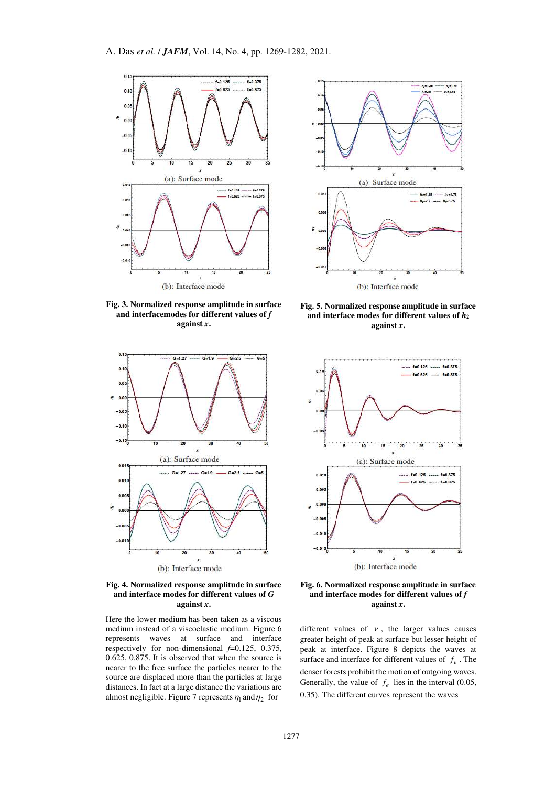

**Fig. 3. Normalized response amplitude in surface and interfacemodes for different values of** *f*  **against** *x***.** 



**Fig. 4. Normalized response amplitude in surface and interface modes for different values of** *G* **against** *x***.** 

Here the lower medium has been taken as a viscous medium instead of a viscoelastic medium. Figure 6 represents waves at surface and interface respectively for non-dimensional  $f=0.125$ , 0.375, 0.625, 0.875. It is observed that when the source is nearer to the free surface the particles nearer to the source are displaced more than the particles at large distances. In fact at a large distance the variations are almost negligible. Figure 7 represents  $\eta_1$  and  $\eta_2$  for



**Fig. 5. Normalized response amplitude in surface and interface modes for different values of** *h***<sup>2</sup> against** *x***.** 



**Fig. 6. Normalized response amplitude in surface**  and interface modes for different values of  $f$ **against** *x***.** 

different values of  $\nu$ , the larger values causes greater height of peak at surface but lesser height of peak at interface. Figure 8 depicts the waves at surface and interface for different values of  $f_e$ . The denser forests prohibit the motion of outgoing waves. Generally, the value of  $f_e$  lies in the interval (0.05, 0.35). The different curves represent the waves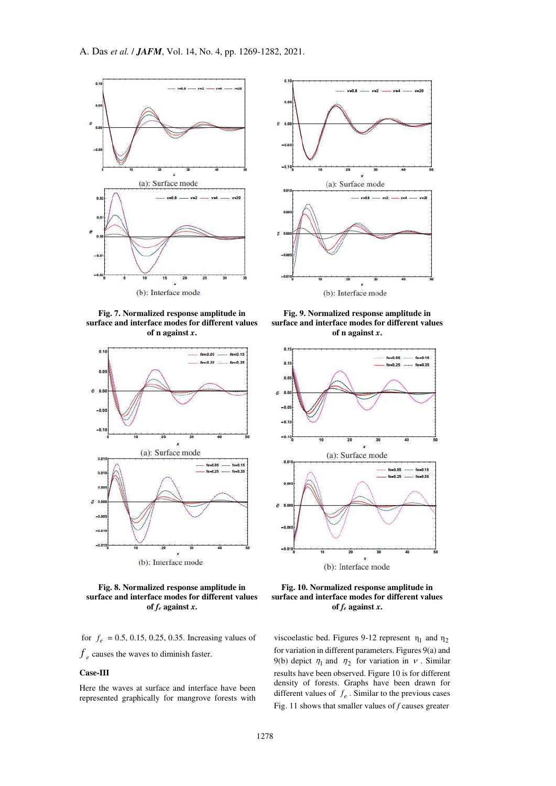

**Fig. 7. Normalized response amplitude in surface and interface modes for different values of n against** *x***.**





for  $f_e = 0.5, 0.15, 0.25, 0.35$ . Increasing values of

 $f_e$  causes the waves to diminish faster.

# **Case-III**

Here the waves at surface and interface have been represented graphically for mangrove forests with



**Fig. 9. Normalized response amplitude in surface and interface modes for different values of n against** *x***.**



**Fig. 10. Normalized response amplitude in surface and interface modes for different values of** *fe* **against** *x***.** 

viscoelastic bed. Figures 9-12 represent  $η<sub>1</sub>$  and  $η<sub>2</sub>$ for variation in different parameters. Figures 9(a) and 9(b) depict  $\eta_1$  and  $\eta_2$  for variation in v. Similar results have been observed. Figure 10 is for different density of forests. Graphs have been drawn for different values of  $f_e$ . Similar to the previous cases Fig. 11 shows that smaller values of *f* causes greater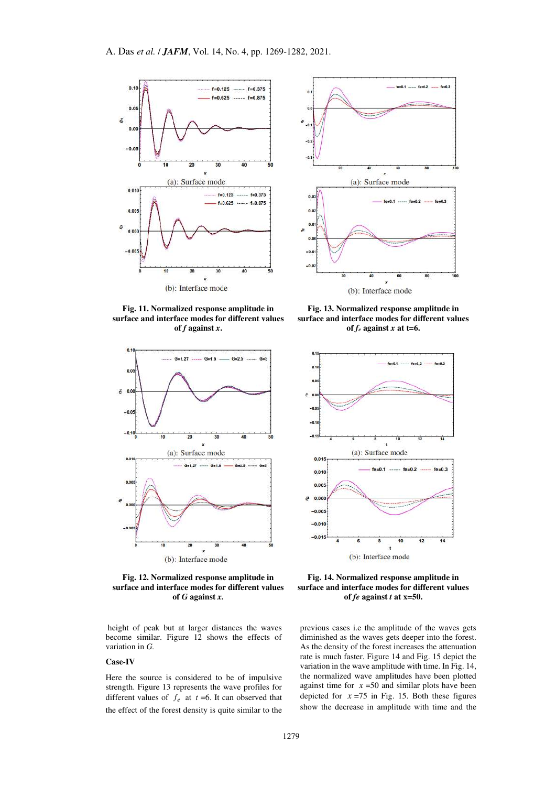

**Fig. 11. Normalized response amplitude in surface and interface modes for different values of** *f* **against** *x***.**



**Fig. 12. Normalized response amplitude in surface and interface modes for different values of** *G* **against** *x.*

 height of peak but at larger distances the waves become similar. Figure 12 shows the effects of variation in *G.*

## **Case-IV**

Here the source is considered to be of impulsive strength. Figure 13 represents the wave profiles for different values of  $f_e$  at  $t = 6$ . It can observed that the effect of the forest density is quite similar to the



**Fig. 13. Normalized response amplitude in surface and interface modes for different values**  of  $f_e$  against  $x$  at t=6.



**Fig. 14. Normalized response amplitude in surface and interface modes for different values of** *fe* **against** *t* **at x=50.**

previous cases i.e the amplitude of the waves gets diminished as the waves gets deeper into the forest. As the density of the forest increases the attenuation rate is much faster. Figure 14 and Fig. 15 depict the variation in the wave amplitude with time. In Fig. 14, the normalized wave amplitudes have been plotted against time for  $x = 50$  and similar plots have been depicted for  $x = 75$  in Fig. 15. Both these figures show the decrease in amplitude with time and the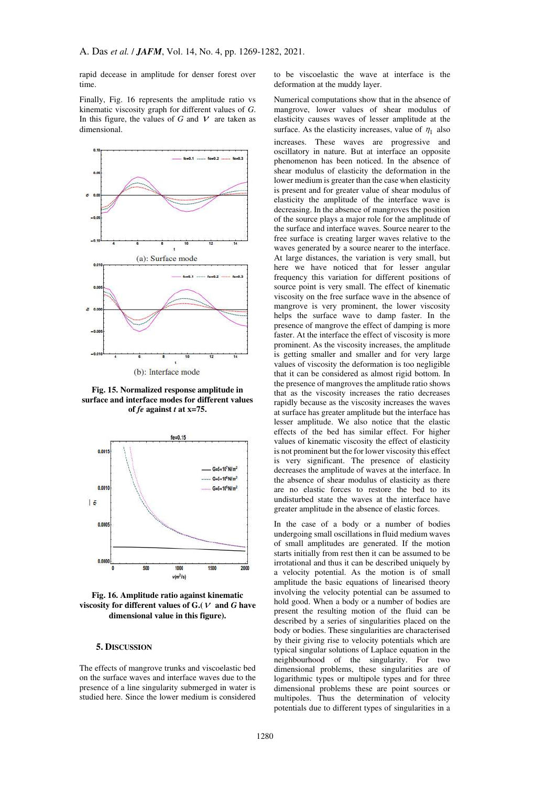rapid decease in amplitude for denser forest over time.

Finally, Fig. 16 represents the amplitude ratio vs kinematic viscosity graph for different values of *G*. In this figure, the values of *G* and  $V$  are taken as dimensional.



(b): Interface mode

**Fig. 15. Normalized response amplitude in surface and interface modes for different values of** *fe* **against** *t* **at x=75.** 



**Fig. 16. Amplitude ratio against kinematic**  viscosity for different values of  $G(V)$  and  $G$  have **dimensional value in this figure).**

## **5. DISCUSSION**

The effects of mangrove trunks and viscoelastic bed on the surface waves and interface waves due to the presence of a line singularity submerged in water is studied here. Since the lower medium is considered

to be viscoelastic the wave at interface is the deformation at the muddy layer.

Numerical computations show that in the absence of mangrove, lower values of shear modulus of elasticity causes waves of lesser amplitude at the surface. As the elasticity increases, value of  $\eta_1$  also increases. These waves are progressive and oscillatory in nature. But at interface an opposite phenomenon has been noticed. In the absence of shear modulus of elasticity the deformation in the lower medium is greater than the case when elasticity is present and for greater value of shear modulus of elasticity the amplitude of the interface wave is decreasing. In the absence of mangroves the position of the source plays a major role for the amplitude of the surface and interface waves. Source nearer to the free surface is creating larger waves relative to the waves generated by a source nearer to the interface. At large distances, the variation is very small, but here we have noticed that for lesser angular frequency this variation for different positions of source point is very small. The effect of kinematic viscosity on the free surface wave in the absence of mangrove is very prominent, the lower viscosity helps the surface wave to damp faster. In the presence of mangrove the effect of damping is more faster. At the interface the effect of viscosity is more prominent. As the viscosity increases, the amplitude is getting smaller and smaller and for very large values of viscosity the deformation is too negligible that it can be considered as almost rigid bottom. In the presence of mangroves the amplitude ratio shows that as the viscosity increases the ratio decreases rapidly because as the viscosity increases the waves at surface has greater amplitude but the interface has lesser amplitude. We also notice that the elastic effects of the bed has similar effect. For higher values of kinematic viscosity the effect of elasticity is not prominent but the for lower viscosity this effect is very significant. The presence of elasticity decreases the amplitude of waves at the interface. In the absence of shear modulus of elasticity as there are no elastic forces to restore the bed to its undisturbed state the waves at the interface have greater amplitude in the absence of elastic forces.

In the case of a body or a number of bodies undergoing small oscillations in fluid medium waves of small amplitudes are generated. If the motion starts initially from rest then it can be assumed to be irrotational and thus it can be described uniquely by a velocity potential. As the motion is of small amplitude the basic equations of linearised theory involving the velocity potential can be assumed to hold good. When a body or a number of bodies are present the resulting motion of the fluid can be described by a series of singularities placed on the body or bodies. These singularities are characterised by their giving rise to velocity potentials which are typical singular solutions of Laplace equation in the neighbourhood of the singularity. For two dimensional problems, these singularities are of logarithmic types or multipole types and for three dimensional problems these are point sources or multipoles. Thus the determination of velocity potentials due to different types of singularities in a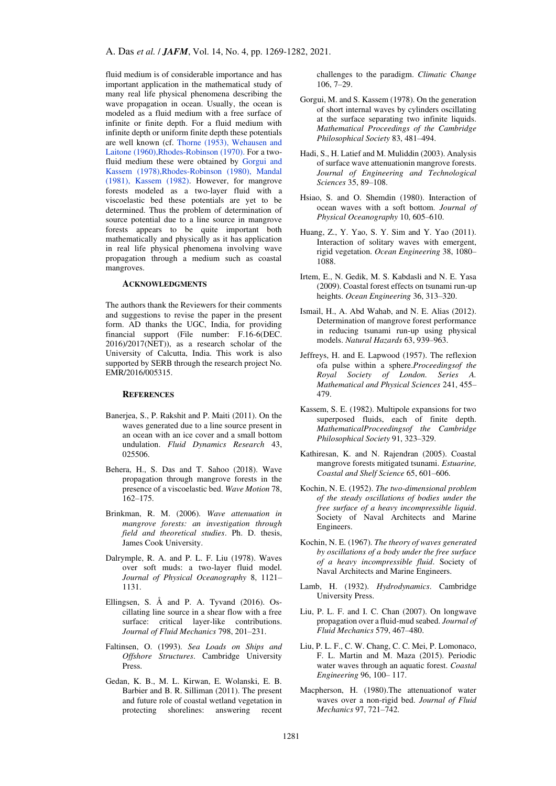fluid medium is of considerable importance and has important application in the mathematical study of many real life physical phenomena describing the wave propagation in ocean. Usually, the ocean is modeled as a fluid medium with a free surface of infinite or finite depth. For a fluid medium with infinite depth or uniform finite depth these potentials are well known (cf. [Thorne \(1953\),](#page-13-0) [Wehausen and](#page-13-3)  [Laitone \(1960\)](#page-13-3)[,Rhodes-Robinson \(1970\).](#page-13-1) For a twofluid medium these were obtained by [Gorgui and](#page-12-18)  [Kassem \(1978\)](#page-12-18)[,Rhodes-Robinson \(1980\),](#page-13-1) [Mandal](#page-13-11)  [\(1981\),](#page-13-11) [Kassem \(1982\).](#page-12-19) However, for mangrove forests modeled as a two-layer fluid with a viscoelastic bed these potentials are yet to be determined. Thus the problem of determination of source potential due to a line source in mangrove forests appears to be quite important both mathematically and physically as it has application in real life physical phenomena involving wave propagation through a medium such as coastal mangroves.

# **ACKNOWLEDGMENTS**

The authors thank the Reviewers for their comments and suggestions to revise the paper in the present form. AD thanks the UGC, India, for providing financial support (File number: F.16-6(DEC. 2016)/2017(NET)), as a research scholar of the University of Calcutta, India. This work is also supported by SERB through the research project No. EMR/2016/005315.

## **REFERENCES**

- <span id="page-12-3"></span>Banerjea, S., P. Rakshit and P. Maiti (2011). On the waves generated due to a line source present in an ocean with an ice cover and a small bottom undulation. *Fluid Dynamics Research* 43, 025506.
- <span id="page-12-4"></span>Behera, H., S. Das and T. Sahoo (2018). Wave propagation through mangrove forests in the presence of a viscoelastic bed. *Wave Motion* 78, 162–175.
- <span id="page-12-8"></span>Brinkman, R. M. (2006). *Wave attenuation in mangrove forests: an investigation through field and theoretical studies*. Ph. D. thesis, James Cook University.
- <span id="page-12-13"></span>Dalrymple, R. A. and P. L. F. Liu (1978). Waves over soft muds: a two-layer fluid model. *Journal of Physical Oceanography* 8, 1121– 1131.
- <span id="page-12-2"></span>Ellingsen, S. Å and P. A. Tyvand (2016). Oscillating line source in a shear flow with a free surface: critical layer-like contributions. *Journal of Fluid Mechanics* 798, 201–231.
- <span id="page-12-0"></span>Faltinsen, O. (1993). *Sea Loads on Ships and Offshore Structures*. Cambridge University Press.
- <span id="page-12-6"></span>Gedan, K. B., M. L. Kirwan, E. Wolanski, E. B. Barbier and B. R. Silliman (2011). The present and future role of coastal wetland vegetation in protecting shorelines: answering recent

challenges to the paradigm. *Climatic Change*  106, 7–29.

- <span id="page-12-18"></span>Gorgui, M. and S. Kassem (1978). On the generation of short internal waves by cylinders oscillating at the surface separating two infinite liquids. *Mathematical Proceedings of the Cambridge Philosophical Society* 83, 481–494.
- <span id="page-12-7"></span>Hadi, S., H. Latief and M. Muliddin (2003). Analysis of surface wave attenuationin mangrove forests. *Journal of Engineering and Technological Sciences* 35, 89–108.
- <span id="page-12-15"></span>Hsiao, S. and O. Shemdin (1980). Interaction of ocean waves with a soft bottom. *Journal of Physical Oceanography* 10, 605–610.
- <span id="page-12-9"></span>Huang, Z., Y. Yao, S. Y. Sim and Y. Yao (2011). Interaction of solitary waves with emergent, rigid vegetation. *Ocean Engineering* 38, 1080– 1088.
- <span id="page-12-11"></span>Irtem, E., N. Gedik, M. S. Kabdasli and N. E. Yasa (2009). Coastal forest effects on tsunami run-up heights. *Ocean Engineering* 36, 313–320.
- <span id="page-12-10"></span>Ismail, H., A. Abd Wahab, and N. E. Alias (2012). Determination of mangrove forest performance in reducing tsunami run-up using physical models. *Natural Hazards* 63, 939–963.
- <span id="page-12-17"></span>Jeffreys, H. and E. Lapwood (1957). The reflexion ofa pulse within a sphere.*Proceedingsof the Royal Society of London. Series A. Mathematical and Physical Sciences* 241, 455– 479.
- <span id="page-12-19"></span>Kassem, S. E. (1982). Multipole expansions for two superposed fluids, each of finite depth. *MathematicalProceedingsof the Cambridge Philosophical Society* 91, 323–329.
- <span id="page-12-5"></span>Kathiresan, K. and N. Rajendran (2005). Coastal mangrove forests mitigated tsunami. *Estuarine, Coastal and Shelf Science* 65, 601–606.
- <span id="page-12-1"></span>Kochin, N. E. (1952). *The two-dimensional problem of the steady oscillations of bodies under the free surface of a heavy incompressible liquid*. Society of Naval Architects and Marine Engineers.
- Kochin, N. E. (1967). *The theory of waves generated by oscillations of a body under the free surface of a heavy incompressible fluid*. Society of Naval Architects and Marine Engineers.
- <span id="page-12-16"></span>Lamb, H. (1932). *Hydrodynamics*. Cambridge University Press.
- Liu, P. L. F. and I. C. Chan (2007). On longwave propagation over a fluid-mud seabed. *Journal of Fluid Mechanics* 579, 467–480.
- <span id="page-12-12"></span>Liu, P. L. F., C. W. Chang, C. C. Mei, P. Lomonaco, F. L. Martin and M. Maza (2015). Periodic water waves through an aquatic forest. *Coastal Engineering* 96, 100– 117.
- <span id="page-12-14"></span>Macpherson, H. (1980).The attenuationof water waves over a non-rigid bed. *Journal of Fluid Mechanics* 97, 721–742.